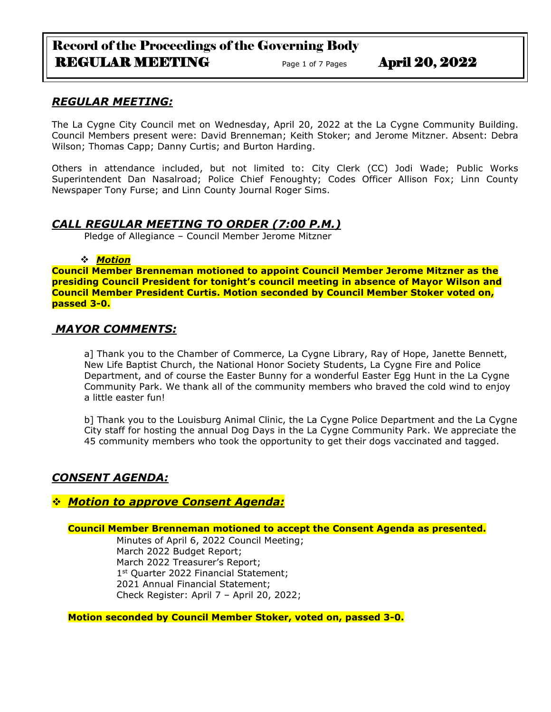# Record of the Proceedings of the Governing Body REGULAR MEETING Page 1 of 7 Pages April 20, 2022

## *REGULAR MEETING:*

The La Cygne City Council met on Wednesday, April 20, 2022 at the La Cygne Community Building. Council Members present were: David Brenneman; Keith Stoker; and Jerome Mitzner. Absent: Debra Wilson; Thomas Capp; Danny Curtis; and Burton Harding.

Others in attendance included, but not limited to: City Clerk (CC) Jodi Wade; Public Works Superintendent Dan Nasalroad; Police Chief Fenoughty; Codes Officer Allison Fox; Linn County Newspaper Tony Furse; and Linn County Journal Roger Sims.

## *CALL REGULAR MEETING TO ORDER (7:00 P.M.)*

Pledge of Allegiance – Council Member Jerome Mitzner

## ❖ *Motion*

**Council Member Brenneman motioned to appoint Council Member Jerome Mitzner as the presiding Council President for tonight's council meeting in absence of Mayor Wilson and Council Member President Curtis. Motion seconded by Council Member Stoker voted on, passed 3-0.**

## *MAYOR COMMENTS:*

a] Thank you to the Chamber of Commerce, La Cygne Library, Ray of Hope, Janette Bennett, New Life Baptist Church, the National Honor Society Students, La Cygne Fire and Police Department, and of course the Easter Bunny for a wonderful Easter Egg Hunt in the La Cygne Community Park. We thank all of the community members who braved the cold wind to enjoy a little easter fun!

b] Thank you to the Louisburg Animal Clinic, the La Cygne Police Department and the La Cygne City staff for hosting the annual Dog Days in the La Cygne Community Park. We appreciate the 45 community members who took the opportunity to get their dogs vaccinated and tagged.

# *CONSENT AGENDA:*

# ❖ *Motion to approve Consent Agenda:*

## **Council Member Brenneman motioned to accept the Consent Agenda as presented.**

Minutes of April 6, 2022 Council Meeting; March 2022 Budget Report; March 2022 Treasurer's Report; 1<sup>st</sup> Quarter 2022 Financial Statement; 2021 Annual Financial Statement; Check Register: April 7 – April 20, 2022;

**Motion seconded by Council Member Stoker, voted on, passed 3-0.**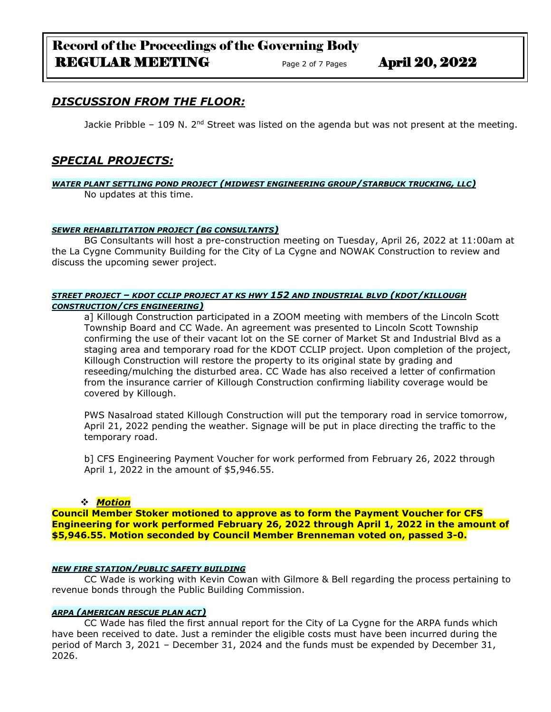# Record of the Proceedings of the Governing Body REGULAR MEETING Page 2 of 7 Pages April 20, 2022

# *DISCUSSION FROM THE FLOOR:*

Jackie Pribble – 109 N. 2<sup>nd</sup> Street was listed on the agenda but was not present at the meeting.

# *SPECIAL PROJECTS:*

*WATER PLANT SETTLING POND PROJECT (MIDWEST ENGINEERING GROUP/STARBUCK TRUCKING, LLC)* No updates at this time.

#### *SEWER REHABILITATION PROJECT (BG CONSULTANTS)*

BG Consultants will host a pre-construction meeting on Tuesday, April 26, 2022 at 11:00am at the La Cygne Community Building for the City of La Cygne and NOWAK Construction to review and discuss the upcoming sewer project.

#### *STREET PROJECT – KDOT CCLIP PROJECT AT KS HWY 152 AND INDUSTRIAL BLVD (KDOT/KILLOUGH CONSTRUCTION/CFS ENGINEERING)*

a] Killough Construction participated in a ZOOM meeting with members of the Lincoln Scott Township Board and CC Wade. An agreement was presented to Lincoln Scott Township confirming the use of their vacant lot on the SE corner of Market St and Industrial Blvd as a staging area and temporary road for the KDOT CCLIP project. Upon completion of the project, Killough Construction will restore the property to its original state by grading and reseeding/mulching the disturbed area. CC Wade has also received a letter of confirmation from the insurance carrier of Killough Construction confirming liability coverage would be covered by Killough.

PWS Nasalroad stated Killough Construction will put the temporary road in service tomorrow, April 21, 2022 pending the weather. Signage will be put in place directing the traffic to the temporary road.

b] CFS Engineering Payment Voucher for work performed from February 26, 2022 through April 1, 2022 in the amount of \$5,946.55.

#### ❖ *Motion*

**Council Member Stoker motioned to approve as to form the Payment Voucher for CFS Engineering for work performed February 26, 2022 through April 1, 2022 in the amount of \$5,946.55. Motion seconded by Council Member Brenneman voted on, passed 3-0.**

#### *NEW FIRE STATION/PUBLIC SAFETY BUILDING*

CC Wade is working with Kevin Cowan with Gilmore & Bell regarding the process pertaining to revenue bonds through the Public Building Commission.

### *ARPA (AMERICAN RESCUE PLAN ACT)*

CC Wade has filed the first annual report for the City of La Cygne for the ARPA funds which have been received to date. Just a reminder the eligible costs must have been incurred during the period of March 3, 2021 – December 31, 2024 and the funds must be expended by December 31, 2026.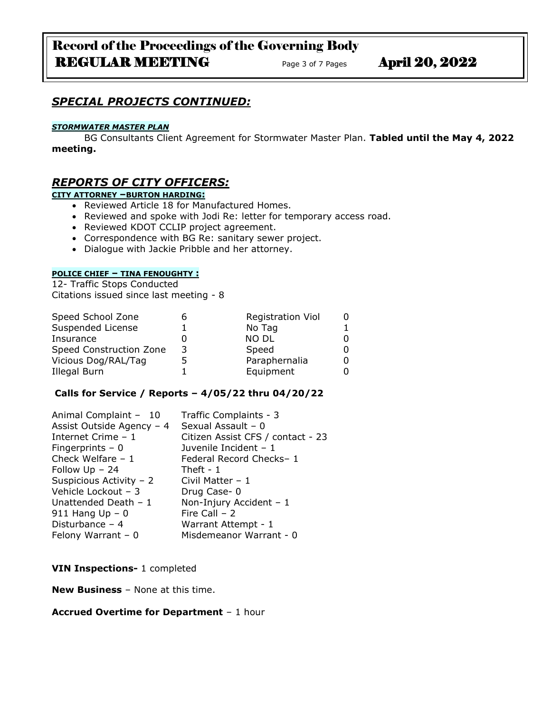# Record of the Proceedings of the Governing Body REGULAR MEETING Page 3 of 7 Pages April 20, 2022

# *SPECIAL PROJECTS CONTINUED:*

#### *STORMWATER MASTER PLAN*

BG Consultants Client Agreement for Stormwater Master Plan. **Tabled until the May 4, 2022 meeting.**

## *REPORTS OF CITY OFFICERS:*

#### **CITY ATTORNEY –BURTON HARDING:**

- Reviewed Article 18 for Manufactured Homes.
- Reviewed and spoke with Jodi Re: letter for temporary access road.
- Reviewed KDOT CCLIP project agreement.
- Correspondence with BG Re: sanitary sewer project.
- Dialogue with Jackie Pribble and her attorney.

### **POLICE CHIEF – TINA FENOUGHTY :**

12- Traffic Stops Conducted Citations issued since last meeting - 8

| Speed School Zone       |   | <b>Registration Viol</b> |  |
|-------------------------|---|--------------------------|--|
| Suspended License       |   | No Tag                   |  |
| Insurance               |   | <b>NO DL</b>             |  |
| Speed Construction Zone | 3 | Speed                    |  |
| Vicious Dog/RAL/Tag     |   | Paraphernalia            |  |
| Illegal Burn            |   | Equipment                |  |

#### **Calls for Service / Reports – 4/05/22 thru 04/20/22**

| Animal Complaint - 10     | Traffic Complaints - 3            |
|---------------------------|-----------------------------------|
| Assist Outside Agency - 4 | Sexual Assault - 0                |
| Internet Crime - 1        | Citizen Assist CFS / contact - 23 |
| Fingerprints $-0$         | Juvenile Incident - 1             |
| Check Welfare $-1$        | Federal Record Checks-1           |
| Follow $Up - 24$          | Theft - $1$                       |
| Suspicious Activity - 2   | Civil Matter $-1$                 |
| Vehicle Lockout - 3       | Drug Case-0                       |
| Unattended Death $-1$     | Non-Injury Accident - 1           |
| 911 Hang $Up - 0$         | Fire Call $-2$                    |
| Disturbance $-4$          | Warrant Attempt - 1               |
| Felony Warrant $-0$       | Misdemeanor Warrant - 0           |

### **VIN Inspections-** 1 completed

**New Business** – None at this time.

#### **Accrued Overtime for Department** – 1 hour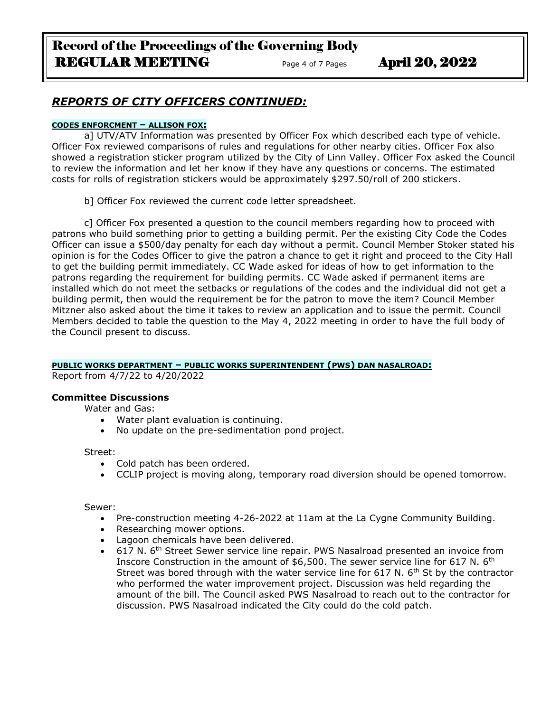# Record of the Proceedings of the Governing Body REGULAR MEETING Page 4 of 7 Pages April 20, 2022

# *REPORTS OF CITY OFFICERS CONTINUED:*

### **CODES ENFORCMENT – ALLISON FOX:**

a] UTV/ATV Information was presented by Officer Fox which described each type of vehicle. Officer Fox reviewed comparisons of rules and regulations for other nearby cities. Officer Fox also showed a registration sticker program utilized by the City of Linn Valley. Officer Fox asked the Council to review the information and let her know if they have any questions or concerns. The estimated costs for rolls of registration stickers would be approximately \$297.50/roll of 200 stickers.

b] Officer Fox reviewed the current code letter spreadsheet.

c] Officer Fox presented a question to the council members regarding how to proceed with patrons who build something prior to getting a building permit. Per the existing City Code the Codes Officer can issue a \$500/day penalty for each day without a permit. Council Member Stoker stated his opinion is for the Codes Officer to give the patron a chance to get it right and proceed to the City Hall to get the building permit immediately. CC Wade asked for ideas of how to get information to the patrons regarding the requirement for building permits. CC Wade asked if permanent items are installed which do not meet the setbacks or regulations of the codes and the individual did not get a building permit, then would the requirement be for the patron to move the item? Council Member Mitzner also asked about the time it takes to review an application and to issue the permit. Council Members decided to table the question to the May 4, 2022 meeting in order to have the full body of the Council present to discuss.

#### **PUBLIC WORKS DEPARTMENT – PUBLIC WORKS SUPERINTENDENT (PWS) DAN NASALROAD:**

Report from 4/7/22 to 4/20/2022

## **Committee Discussions**

Water and Gas:

- Water plant evaluation is continuing.
- No update on the pre-sedimentation pond project.

#### Street:

- Cold patch has been ordered.
- CCLIP project is moving along, temporary road diversion should be opened tomorrow.

Sewer:

- Pre-construction meeting 4-26-2022 at 11am at the La Cygne Community Building.
- Researching mower options.
- Lagoon chemicals have been delivered.
- 617 N. 6<sup>th</sup> Street Sewer service line repair. PWS Nasalroad presented an invoice from Inscore Construction in the amount of \$6,500. The sewer service line for 617 N. 6<sup>th</sup> Street was bored through with the water service line for 617 N.  $6<sup>th</sup>$  St by the contractor who performed the water improvement project. Discussion was held regarding the amount of the bill. The Council asked PWS Nasalroad to reach out to the contractor for discussion. PWS Nasalroad indicated the City could do the cold patch.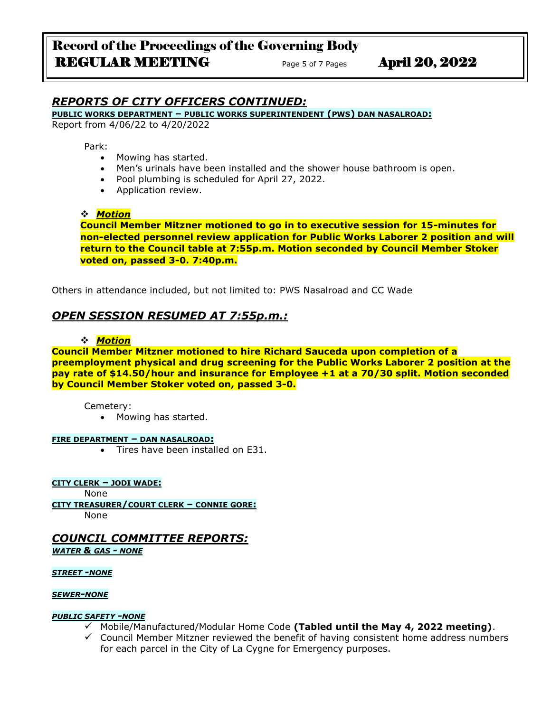# *REPORTS OF CITY OFFICERS CONTINUED:*

**PUBLIC WORKS DEPARTMENT – PUBLIC WORKS SUPERINTENDENT (PWS) DAN NASALROAD:**

Report from 4/06/22 to 4/20/2022

Park:

- Mowing has started.
- Men's urinals have been installed and the shower house bathroom is open.
- Pool plumbing is scheduled for April 27, 2022.
- Application review.

### ❖ *Motion*

**Council Member Mitzner motioned to go in to executive session for 15-minutes for non-elected personnel review application for Public Works Laborer 2 position and will return to the Council table at 7:55p.m. Motion seconded by Council Member Stoker voted on, passed 3-0. 7:40p.m.**

Others in attendance included, but not limited to: PWS Nasalroad and CC Wade

# *OPEN SESSION RESUMED AT 7:55p.m.:*

### ❖ *Motion*

**Council Member Mitzner motioned to hire Richard Sauceda upon completion of a preemployment physical and drug screening for the Public Works Laborer 2 position at the pay rate of \$14.50/hour and insurance for Employee +1 at a 70/30 split. Motion seconded by Council Member Stoker voted on, passed 3-0.**

Cemetery:

• Mowing has started.

#### **FIRE DEPARTMENT – DAN NASALROAD:**

• Tires have been installed on E31.

**CITY CLERK – JODI WADE:**

None

**CITY TREASURER/COURT CLERK – CONNIE GORE:**

None

# *COUNCIL COMMITTEE REPORTS:*

*WATER & GAS - NONE*

*STREET -NONE*

#### *SEWER-NONE*

#### *PUBLIC SAFETY -NONE*

- ✓ Mobile/Manufactured/Modular Home Code **(Tabled until the May 4, 2022 meeting)**.
- $\checkmark$  Council Member Mitzner reviewed the benefit of having consistent home address numbers for each parcel in the City of La Cygne for Emergency purposes.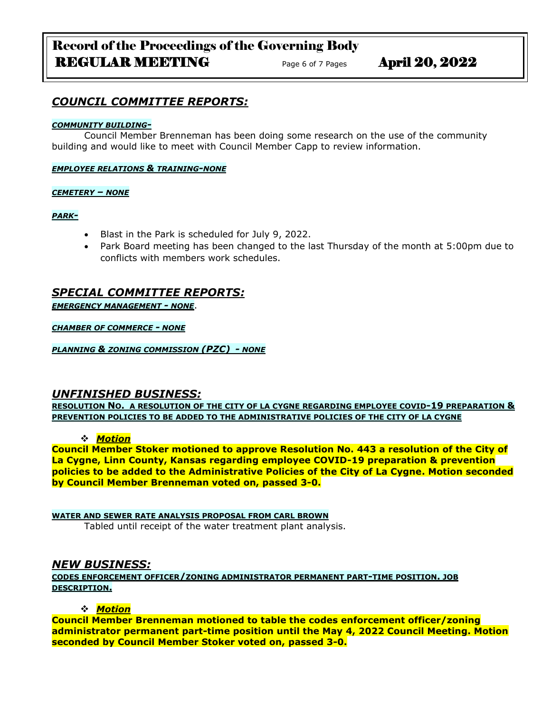# Record of the Proceedings of the Governing Body REGULAR MEETING Page 6 of 7 Pages April 20, 2022

# *COUNCIL COMMITTEE REPORTS:*

### *COMMUNITY BUILDING-*

Council Member Brenneman has been doing some research on the use of the community building and would like to meet with Council Member Capp to review information.

*EMPLOYEE RELATIONS & TRAINING-NONE*

*CEMETERY – NONE*

*PARK-*

- Blast in the Park is scheduled for July 9, 2022.
- Park Board meeting has been changed to the last Thursday of the month at 5:00pm due to conflicts with members work schedules.

# *SPECIAL COMMITTEE REPORTS:*

*EMERGENCY MANAGEMENT - NONE*.

*CHAMBER OF COMMERCE - NONE*

*PLANNING & ZONING COMMISSION (PZC) - NONE*

## *UNFINISHED BUSINESS:*

**RESOLUTION NO. A RESOLUTION OF THE CITY OF LA CYGNE REGARDING EMPLOYEE COVID-19 PREPARATION & PREVENTION POLICIES TO BE ADDED TO THE ADMINISTRATIVE POLICIES OF THE CITY OF LA CYGNE**

## ❖ *Motion*

**Council Member Stoker motioned to approve Resolution No. 443 a resolution of the City of La Cygne, Linn County, Kansas regarding employee COVID-19 preparation & prevention policies to be added to the Administrative Policies of the City of La Cygne. Motion seconded by Council Member Brenneman voted on, passed 3-0.**

**WATER AND SEWER RATE ANALYSIS PROPOSAL FROM CARL BROWN** Tabled until receipt of the water treatment plant analysis.

## *NEW BUSINESS:*

**CODES ENFORCEMENT OFFICER/ZONING ADMINISTRATOR PERMANENT PART-TIME POSITION. JOB DESCRIPTION.**

## ❖ *Motion*

**Council Member Brenneman motioned to table the codes enforcement officer/zoning administrator permanent part-time position until the May 4, 2022 Council Meeting. Motion seconded by Council Member Stoker voted on, passed 3-0.**